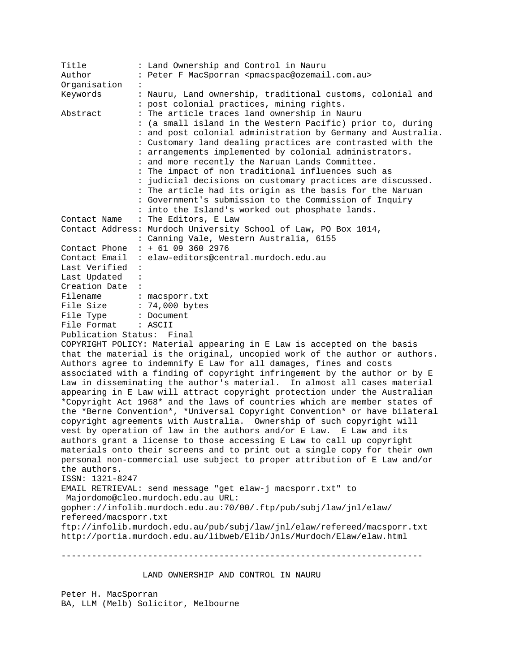| Title<br>Author                                                            | : Land Ownership and Control in Nauru<br>: Peter F MacSporran <pmacspac@ozemail.com.au></pmacspac@ozemail.com.au> |
|----------------------------------------------------------------------------|-------------------------------------------------------------------------------------------------------------------|
| Organisation                                                               |                                                                                                                   |
| Keywords                                                                   | : Nauru, Land ownership, traditional customs, colonial and                                                        |
|                                                                            | : post colonial practices, mining rights.                                                                         |
| Abstract                                                                   | : The article traces land ownership in Nauru                                                                      |
|                                                                            | : (a small island in the Western Pacific) prior to, during                                                        |
|                                                                            | : and post colonial administration by Germany and Australia.                                                      |
|                                                                            | : Customary land dealing practices are contrasted with the                                                        |
|                                                                            | : arrangements implemented by colonial administrators.                                                            |
|                                                                            | : and more recently the Naruan Lands Committee.                                                                   |
|                                                                            | : The impact of non traditional influences such as                                                                |
|                                                                            | : judicial decisions on customary practices are discussed.                                                        |
|                                                                            | : The article had its origin as the basis for the Naruan                                                          |
|                                                                            | : Government's submission to the Commission of Inquiry                                                            |
|                                                                            | : into the Island's worked out phosphate lands.                                                                   |
| Contact Name                                                               | : The Editors, E Law                                                                                              |
|                                                                            | Contact Address: Murdoch University School of Law, PO Box 1014,                                                   |
|                                                                            | : Canning Vale, Western Australia, 6155                                                                           |
| Contact Phone                                                              | $: + 61093602976$                                                                                                 |
| Contact Email                                                              | : elaw-editors@central.murdoch.edu.au                                                                             |
| Last Verified                                                              |                                                                                                                   |
| Last Updated<br>$\cdot$ :                                                  |                                                                                                                   |
| Creation Date :                                                            |                                                                                                                   |
| Filename : macsporr.txt                                                    |                                                                                                                   |
| File Size : 74,000 bytes                                                   |                                                                                                                   |
| File Type                                                                  | : Document                                                                                                        |
| File Format                                                                | : ASCII                                                                                                           |
| Publication Status:                                                        | Final                                                                                                             |
|                                                                            | COPYRIGHT POLICY: Material appearing in E Law is accepted on the basis                                            |
| that the material is the original, uncopied work of the author or authors. |                                                                                                                   |
| Authors agree to indemnify E Law for all damages, fines and costs          |                                                                                                                   |
| associated with a finding of copyright infringement by the author or by E  |                                                                                                                   |
| Law in disseminating the author's material. In almost all cases material   |                                                                                                                   |
|                                                                            | appearing in E Law will attract copyright protection under the Australian                                         |
|                                                                            | *Copyright Act 1968* and the laws of countries which are member states of                                         |
|                                                                            | the *Berne Convention*, *Universal Copyright Convention* or have bilateral                                        |
|                                                                            | copyright agreements with Australia. Ownership of such copyright will                                             |
|                                                                            | vest by operation of law in the authors and/or E Law. E Law and its                                               |
|                                                                            | authors grant a license to those accessing E Law to call up copyright                                             |
|                                                                            | materials onto their screens and to print out a single copy for their own                                         |
|                                                                            | personal non-commercial use subject to proper attribution of E Law and/or                                         |
| the authors.                                                               |                                                                                                                   |
| ISSN: 1321-8247                                                            |                                                                                                                   |
|                                                                            | EMAIL RETRIEVAL: send message "get elaw-j macsporr.txt" to                                                        |
|                                                                            | Majordomo@cleo.murdoch.edu.au URL:                                                                                |
|                                                                            | gopher://infolib.murdoch.edu.au:70/00/.ftp/pub/subj/law/jnl/elaw/                                                 |
| refereed/macsporr.txt                                                      |                                                                                                                   |
|                                                                            | ftp://infolib.murdoch.edu.au/pub/subj/law/jnl/elaw/refereed/macsporr.txt                                          |
|                                                                            | http://portia.murdoch.edu.au/libweb/Elib/Jnls/Murdoch/Elaw/elaw.html                                              |
|                                                                            |                                                                                                                   |
|                                                                            |                                                                                                                   |
|                                                                            |                                                                                                                   |

LAND OWNERSHIP AND CONTROL IN NAURU

Peter H. MacSporran BA, LLM (Melb) Solicitor, Melbourne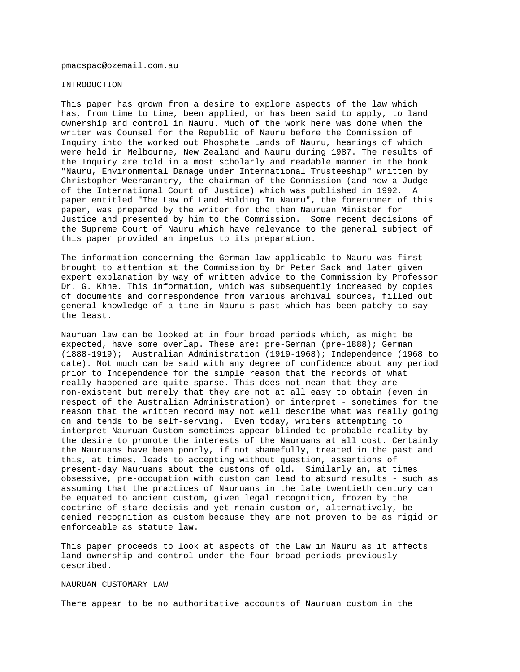pmacspac@ozemail.com.au

## INTRODUCTION

This paper has grown from a desire to explore aspects of the law which has, from time to time, been applied, or has been said to apply, to land ownership and control in Nauru. Much of the work here was done when the writer was Counsel for the Republic of Nauru before the Commission of Inquiry into the worked out Phosphate Lands of Nauru, hearings of which were held in Melbourne, New Zealand and Nauru during 1987. The results of the Inquiry are told in a most scholarly and readable manner in the book "Nauru, Environmental Damage under International Trusteeship" written by Christopher Weeramantry, the chairman of the Commission (and now a Judge of the International Court of Justice) which was published in 1992. A paper entitled "The Law of Land Holding In Nauru", the forerunner of this paper, was prepared by the writer for the then Nauruan Minister for Justice and presented by him to the Commission. Some recent decisions of the Supreme Court of Nauru which have relevance to the general subject of this paper provided an impetus to its preparation.

The information concerning the German law applicable to Nauru was first brought to attention at the Commission by Dr Peter Sack and later given expert explanation by way of written advice to the Commission by Professor Dr. G. Khne. This information, which was subsequently increased by copies of documents and correspondence from various archival sources, filled out general knowledge of a time in Nauru's past which has been patchy to say the least.

Nauruan law can be looked at in four broad periods which, as might be expected, have some overlap. These are: pre-German (pre-1888); German (1888-1919); Australian Administration (1919-1968); Independence (1968 to date). Not much can be said with any degree of confidence about any period prior to Independence for the simple reason that the records of what really happened are quite sparse. This does not mean that they are non-existent but merely that they are not at all easy to obtain (even in respect of the Australian Administration) or interpret - sometimes for the reason that the written record may not well describe what was really going on and tends to be self-serving. Even today, writers attempting to interpret Nauruan Custom sometimes appear blinded to probable reality by the desire to promote the interests of the Nauruans at all cost. Certainly the Nauruans have been poorly, if not shamefully, treated in the past and this, at times, leads to accepting without question, assertions of present-day Nauruans about the customs of old. Similarly an, at times obsessive, pre-occupation with custom can lead to absurd results - such as assuming that the practices of Nauruans in the late twentieth century can be equated to ancient custom, given legal recognition, frozen by the doctrine of stare decisis and yet remain custom or, alternatively, be denied recognition as custom because they are not proven to be as rigid or enforceable as statute law.

This paper proceeds to look at aspects of the Law in Nauru as it affects land ownership and control under the four broad periods previously described.

## NAURUAN CUSTOMARY LAW

There appear to be no authoritative accounts of Nauruan custom in the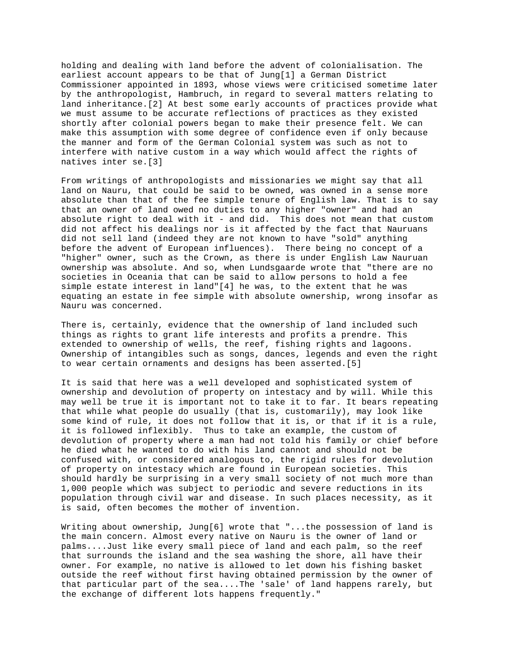holding and dealing with land before the advent of colonialisation. The earliest account appears to be that of Jung[1] a German District Commissioner appointed in 1893, whose views were criticised sometime later by the anthropologist, Hambruch, in regard to several matters relating to land inheritance.[2] At best some early accounts of practices provide what we must assume to be accurate reflections of practices as they existed shortly after colonial powers began to make their presence felt. We can make this assumption with some degree of confidence even if only because the manner and form of the German Colonial system was such as not to interfere with native custom in a way which would affect the rights of natives inter se.[3]

From writings of anthropologists and missionaries we might say that all land on Nauru, that could be said to be owned, was owned in a sense more absolute than that of the fee simple tenure of English law. That is to say that an owner of land owed no duties to any higher "owner" and had an absolute right to deal with it - and did. This does not mean that custom did not affect his dealings nor is it affected by the fact that Nauruans did not sell land (indeed they are not known to have "sold" anything before the advent of European influences). There being no concept of a "higher" owner, such as the Crown, as there is under English Law Nauruan ownership was absolute. And so, when Lundsgaarde wrote that "there are no societies in Oceania that can be said to allow persons to hold a fee simple estate interest in land"[4] he was, to the extent that he was equating an estate in fee simple with absolute ownership, wrong insofar as Nauru was concerned.

There is, certainly, evidence that the ownership of land included such things as rights to grant life interests and profits a prendre. This extended to ownership of wells, the reef, fishing rights and lagoons. Ownership of intangibles such as songs, dances, legends and even the right to wear certain ornaments and designs has been asserted.[5]

It is said that here was a well developed and sophisticated system of ownership and devolution of property on intestacy and by will. While this may well be true it is important not to take it to far. It bears repeating that while what people do usually (that is, customarily), may look like some kind of rule, it does not follow that it is, or that if it is a rule, it is followed inflexibly. Thus to take an example, the custom of devolution of property where a man had not told his family or chief before he died what he wanted to do with his land cannot and should not be confused with, or considered analogous to, the rigid rules for devolution of property on intestacy which are found in European societies. This should hardly be surprising in a very small society of not much more than 1,000 people which was subject to periodic and severe reductions in its population through civil war and disease. In such places necessity, as it is said, often becomes the mother of invention.

Writing about ownership, Jung[6] wrote that "...the possession of land is the main concern. Almost every native on Nauru is the owner of land or palms....Just like every small piece of land and each palm, so the reef that surrounds the island and the sea washing the shore, all have their owner. For example, no native is allowed to let down his fishing basket outside the reef without first having obtained permission by the owner of that particular part of the sea....The 'sale' of land happens rarely, but the exchange of different lots happens frequently."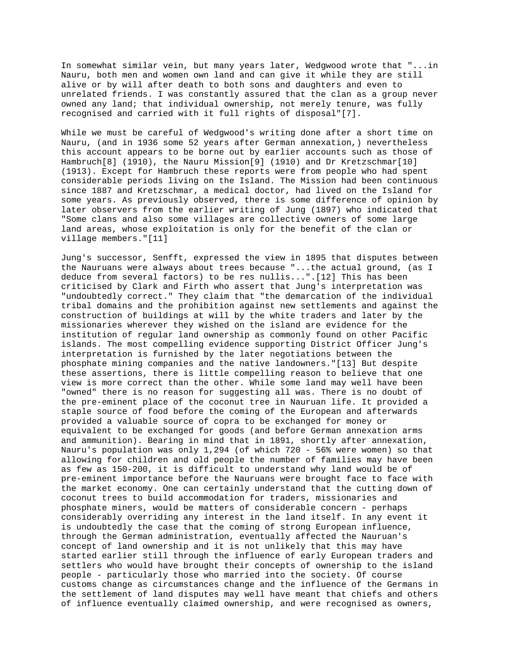In somewhat similar vein, but many years later, Wedgwood wrote that "...in Nauru, both men and women own land and can give it while they are still alive or by will after death to both sons and daughters and even to unrelated friends. I was constantly assured that the clan as a group never owned any land; that individual ownership, not merely tenure, was fully recognised and carried with it full rights of disposal"[7].

While we must be careful of Wedgwood's writing done after a short time on Nauru, (and in 1936 some 52 years after German annexation,) nevertheless this account appears to be borne out by earlier accounts such as those of Hambruch[8] (1910), the Nauru Mission[9] (1910) and Dr Kretzschmar[10] (1913). Except for Hambruch these reports were from people who had spent considerable periods living on the Island. The Mission had been continuous since 1887 and Kretzschmar, a medical doctor, had lived on the Island for some years. As previously observed, there is some difference of opinion by later observers from the earlier writing of Jung (1897) who indicated that "Some clans and also some villages are collective owners of some large land areas, whose exploitation is only for the benefit of the clan or village members."[11]

Jung's successor, Senfft, expressed the view in 1895 that disputes between the Nauruans were always about trees because "...the actual ground, (as I deduce from several factors) to be res nullis...".[12] This has been criticised by Clark and Firth who assert that Jung's interpretation was "undoubtedly correct." They claim that "the demarcation of the individual tribal domains and the prohibition against new settlements and against the construction of buildings at will by the white traders and later by the missionaries wherever they wished on the island are evidence for the institution of regular land ownership as commonly found on other Pacific islands. The most compelling evidence supporting District Officer Jung's interpretation is furnished by the later negotiations between the phosphate mining companies and the native landowners."[13] But despite these assertions, there is little compelling reason to believe that one view is more correct than the other. While some land may well have been "owned" there is no reason for suggesting all was. There is no doubt of the pre-eminent place of the coconut tree in Nauruan life. It provided a staple source of food before the coming of the European and afterwards provided a valuable source of copra to be exchanged for money or equivalent to be exchanged for goods (and before German annexation arms and ammunition). Bearing in mind that in 1891, shortly after annexation, Nauru's population was only 1,294 (of which 720 - 56% were women) so that allowing for children and old people the number of families may have been as few as 150-200, it is difficult to understand why land would be of pre-eminent importance before the Nauruans were brought face to face with the market economy. One can certainly understand that the cutting down of coconut trees to build accommodation for traders, missionaries and phosphate miners, would be matters of considerable concern - perhaps considerably overriding any interest in the land itself. In any event it is undoubtedly the case that the coming of strong European influence, through the German administration, eventually affected the Nauruan's concept of land ownership and it is not unlikely that this may have started earlier still through the influence of early European traders and settlers who would have brought their concepts of ownership to the island people - particularly those who married into the society. Of course customs change as circumstances change and the influence of the Germans in the settlement of land disputes may well have meant that chiefs and others of influence eventually claimed ownership, and were recognised as owners,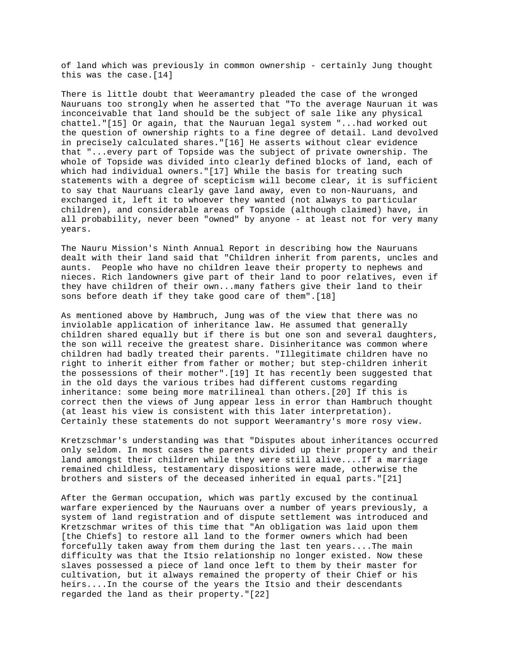of land which was previously in common ownership - certainly Jung thought this was the case.[14]

There is little doubt that Weeramantry pleaded the case of the wronged Nauruans too strongly when he asserted that "To the average Nauruan it was inconceivable that land should be the subject of sale like any physical chattel."[15] Or again, that the Nauruan legal system "...had worked out the question of ownership rights to a fine degree of detail. Land devolved in precisely calculated shares."[16] He asserts without clear evidence that "...every part of Topside was the subject of private ownership. The whole of Topside was divided into clearly defined blocks of land, each of which had individual owners."[17] While the basis for treating such statements with a degree of scepticism will become clear, it is sufficient to say that Nauruans clearly gave land away, even to non-Nauruans, and exchanged it, left it to whoever they wanted (not always to particular children), and considerable areas of Topside (although claimed) have, in all probability, never been "owned" by anyone - at least not for very many years.

The Nauru Mission's Ninth Annual Report in describing how the Nauruans dealt with their land said that "Children inherit from parents, uncles and aunts. People who have no children leave their property to nephews and nieces. Rich landowners give part of their land to poor relatives, even if they have children of their own...many fathers give their land to their sons before death if they take good care of them".[18]

As mentioned above by Hambruch, Jung was of the view that there was no inviolable application of inheritance law. He assumed that generally children shared equally but if there is but one son and several daughters, the son will receive the greatest share. Disinheritance was common where children had badly treated their parents. "Illegitimate children have no right to inherit either from father or mother; but step-children inherit the possessions of their mother".[19] It has recently been suggested that in the old days the various tribes had different customs regarding inheritance: some being more matrilineal than others.[20] If this is correct then the views of Jung appear less in error than Hambruch thought (at least his view is consistent with this later interpretation). Certainly these statements do not support Weeramantry's more rosy view.

Kretzschmar's understanding was that "Disputes about inheritances occurred only seldom. In most cases the parents divided up their property and their land amongst their children while they were still alive....If a marriage remained childless, testamentary dispositions were made, otherwise the brothers and sisters of the deceased inherited in equal parts."[21]

After the German occupation, which was partly excused by the continual warfare experienced by the Nauruans over a number of years previously, a system of land registration and of dispute settlement was introduced and Kretzschmar writes of this time that "An obligation was laid upon them [the Chiefs] to restore all land to the former owners which had been forcefully taken away from them during the last ten years....The main difficulty was that the Itsio relationship no longer existed. Now these slaves possessed a piece of land once left to them by their master for cultivation, but it always remained the property of their Chief or his heirs....In the course of the years the Itsio and their descendants regarded the land as their property."[22]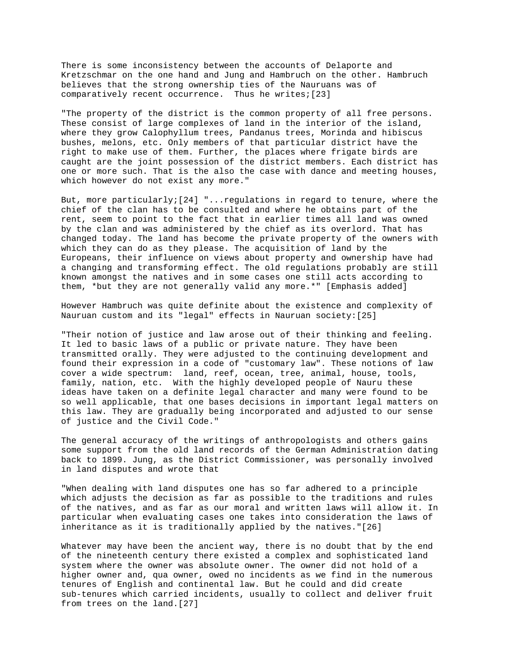There is some inconsistency between the accounts of Delaporte and Kretzschmar on the one hand and Jung and Hambruch on the other. Hambruch believes that the strong ownership ties of the Nauruans was of comparatively recent occurrence. Thus he writes;[23]

"The property of the district is the common property of all free persons. These consist of large complexes of land in the interior of the island, where they grow Calophyllum trees, Pandanus trees, Morinda and hibiscus bushes, melons, etc. Only members of that particular district have the right to make use of them. Further, the places where frigate birds are caught are the joint possession of the district members. Each district has one or more such. That is the also the case with dance and meeting houses, which however do not exist any more."

But, more particularly;[24] "...regulations in regard to tenure, where the chief of the clan has to be consulted and where he obtains part of the rent, seem to point to the fact that in earlier times all land was owned by the clan and was administered by the chief as its overlord. That has changed today. The land has become the private property of the owners with which they can do as they please. The acquisition of land by the Europeans, their influence on views about property and ownership have had a changing and transforming effect. The old regulations probably are still known amongst the natives and in some cases one still acts according to them, \*but they are not generally valid any more.\*" [Emphasis added]

However Hambruch was quite definite about the existence and complexity of Nauruan custom and its "legal" effects in Nauruan society:[25]

"Their notion of justice and law arose out of their thinking and feeling. It led to basic laws of a public or private nature. They have been transmitted orally. They were adjusted to the continuing development and found their expression in a code of "customary law". These notions of law cover a wide spectrum: land, reef, ocean, tree, animal, house, tools, family, nation, etc. With the highly developed people of Nauru these ideas have taken on a definite legal character and many were found to be so well applicable, that one bases decisions in important legal matters on this law. They are gradually being incorporated and adjusted to our sense of justice and the Civil Code."

The general accuracy of the writings of anthropologists and others gains some support from the old land records of the German Administration dating back to 1899. Jung, as the District Commissioner, was personally involved in land disputes and wrote that

"When dealing with land disputes one has so far adhered to a principle which adjusts the decision as far as possible to the traditions and rules of the natives, and as far as our moral and written laws will allow it. In particular when evaluating cases one takes into consideration the laws of inheritance as it is traditionally applied by the natives."[26]

Whatever may have been the ancient way, there is no doubt that by the end of the nineteenth century there existed a complex and sophisticated land system where the owner was absolute owner. The owner did not hold of a higher owner and, qua owner, owed no incidents as we find in the numerous tenures of English and continental law. But he could and did create sub-tenures which carried incidents, usually to collect and deliver fruit from trees on the land.[27]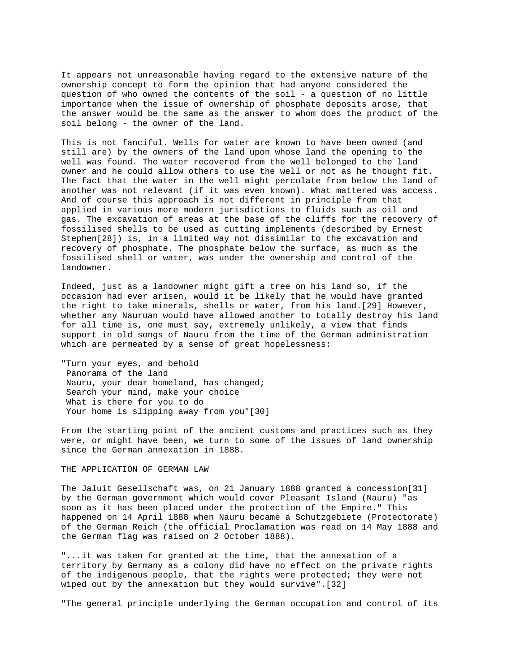It appears not unreasonable having regard to the extensive nature of the ownership concept to form the opinion that had anyone considered the question of who owned the contents of the soil - a question of no little importance when the issue of ownership of phosphate deposits arose, that the answer would be the same as the answer to whom does the product of the soil belong - the owner of the land.

This is not fanciful. Wells for water are known to have been owned (and still are) by the owners of the land upon whose land the opening to the well was found. The water recovered from the well belonged to the land owner and he could allow others to use the well or not as he thought fit. The fact that the water in the well might percolate from below the land of another was not relevant (if it was even known). What mattered was access. And of course this approach is not different in principle from that applied in various more modern jurisdictions to fluids such as oil and gas. The excavation of areas at the base of the cliffs for the recovery of fossilised shells to be used as cutting implements (described by Ernest Stephen[28]) is, in a limited way not dissimilar to the excavation and recovery of phosphate. The phosphate below the surface, as much as the fossilised shell or water, was under the ownership and control of the landowner.

Indeed, just as a landowner might gift a tree on his land so, if the occasion had ever arisen, would it be likely that he would have granted the right to take minerals, shells or water, from his land.[29] However, whether any Nauruan would have allowed another to totally destroy his land for all time is, one must say, extremely unlikely, a view that finds support in old songs of Nauru from the time of the German administration which are permeated by a sense of great hopelessness:

"Turn your eyes, and behold Panorama of the land Nauru, your dear homeland, has changed; Search your mind, make your choice What is there for you to do Your home is slipping away from you"[30]

From the starting point of the ancient customs and practices such as they were, or might have been, we turn to some of the issues of land ownership since the German annexation in 1888.

### THE APPLICATION OF GERMAN LAW

The Jaluit Gesellschaft was, on 21 January 1888 granted a concession[31] by the German government which would cover Pleasant Island (Nauru) "as soon as it has been placed under the protection of the Empire." This happened on 14 April 1888 when Nauru became a Schutzgebiete (Protectorate) of the German Reich (the official Proclamation was read on 14 May 1888 and the German flag was raised on 2 October 1888).

"...it was taken for granted at the time, that the annexation of a territory by Germany as a colony did have no effect on the private rights of the indigenous people, that the rights were protected; they were not wiped out by the annexation but they would survive".[32]

"The general principle underlying the German occupation and control of its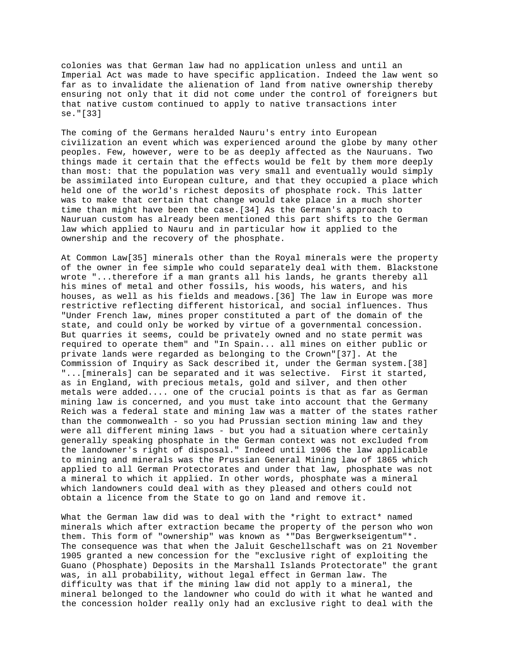colonies was that German law had no application unless and until an Imperial Act was made to have specific application. Indeed the law went so far as to invalidate the alienation of land from native ownership thereby ensuring not only that it did not come under the control of foreigners but that native custom continued to apply to native transactions inter se."[33]

The coming of the Germans heralded Nauru's entry into European civilization an event which was experienced around the globe by many other peoples. Few, however, were to be as deeply affected as the Nauruans. Two things made it certain that the effects would be felt by them more deeply than most: that the population was very small and eventually would simply be assimilated into European culture, and that they occupied a place which held one of the world's richest deposits of phosphate rock. This latter was to make that certain that change would take place in a much shorter time than might have been the case.[34] As the German's approach to Nauruan custom has already been mentioned this part shifts to the German law which applied to Nauru and in particular how it applied to the ownership and the recovery of the phosphate.

At Common Law[35] minerals other than the Royal minerals were the property of the owner in fee simple who could separately deal with them. Blackstone wrote "...therefore if a man grants all his lands, he grants thereby all his mines of metal and other fossils, his woods, his waters, and his houses, as well as his fields and meadows.[36] The law in Europe was more restrictive reflecting different historical, and social influences. Thus "Under French law, mines proper constituted a part of the domain of the state, and could only be worked by virtue of a governmental concession. But quarries it seems, could be privately owned and no state permit was required to operate them" and "In Spain... all mines on either public or private lands were regarded as belonging to the Crown"[37]. At the Commission of Inquiry as Sack described it, under the German system.[38] "...[minerals] can be separated and it was selective. First it started, as in England, with precious metals, gold and silver, and then other metals were added.... one of the crucial points is that as far as German mining law is concerned, and you must take into account that the Germany Reich was a federal state and mining law was a matter of the states rather than the commonwealth - so you had Prussian section mining law and they were all different mining laws - but you had a situation where certainly generally speaking phosphate in the German context was not excluded from the landowner's right of disposal." Indeed until 1906 the law applicable to mining and minerals was the Prussian General Mining law of 1865 which applied to all German Protectorates and under that law, phosphate was not a mineral to which it applied. In other words, phosphate was a mineral which landowners could deal with as they pleased and others could not obtain a licence from the State to go on land and remove it.

What the German law did was to deal with the \*right to extract\* named minerals which after extraction became the property of the person who won them. This form of "ownership" was known as \*"Das Bergwerkseigentum"\*. The consequence was that when the Jaluit Geschellschaft was on 21 November 1905 granted a new concession for the "exclusive right of exploiting the Guano (Phosphate) Deposits in the Marshall Islands Protectorate" the grant was, in all probability, without legal effect in German law. The difficulty was that if the mining law did not apply to a mineral, the mineral belonged to the landowner who could do with it what he wanted and the concession holder really only had an exclusive right to deal with the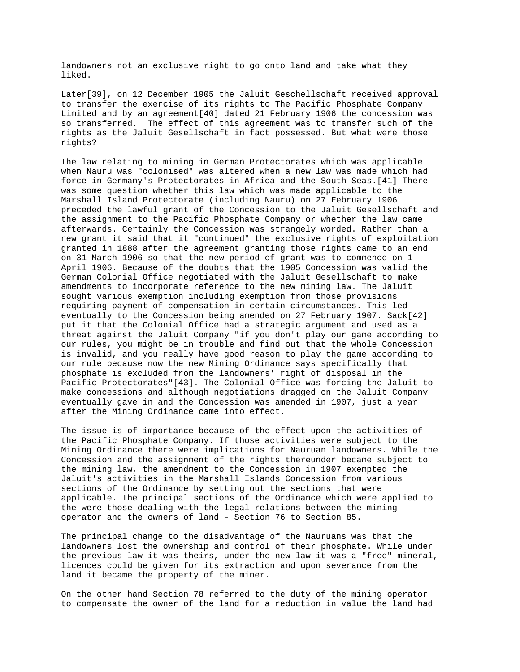landowners not an exclusive right to go onto land and take what they liked.

Later[39], on 12 December 1905 the Jaluit Geschellschaft received approval to transfer the exercise of its rights to The Pacific Phosphate Company Limited and by an agreement[40] dated 21 February 1906 the concession was so transferred. The effect of this agreement was to transfer such of the rights as the Jaluit Gesellschaft in fact possessed. But what were those rights?

The law relating to mining in German Protectorates which was applicable when Nauru was "colonised" was altered when a new law was made which had force in Germany's Protectorates in Africa and the South Seas.[41] There was some question whether this law which was made applicable to the Marshall Island Protectorate (including Nauru) on 27 February 1906 preceded the lawful grant of the Concession to the Jaluit Gesellschaft and the assignment to the Pacific Phosphate Company or whether the law came afterwards. Certainly the Concession was strangely worded. Rather than a new grant it said that it "continued" the exclusive rights of exploitation granted in 1888 after the agreement granting those rights came to an end on 31 March 1906 so that the new period of grant was to commence on 1 April 1906. Because of the doubts that the 1905 Concession was valid the German Colonial Office negotiated with the Jaluit Gesellschaft to make amendments to incorporate reference to the new mining law. The Jaluit sought various exemption including exemption from those provisions requiring payment of compensation in certain circumstances. This led eventually to the Concession being amended on 27 February 1907. Sack[42] put it that the Colonial Office had a strategic argument and used as a threat against the Jaluit Company "if you don't play our game according to our rules, you might be in trouble and find out that the whole Concession is invalid, and you really have good reason to play the game according to our rule because now the new Mining Ordinance says specifically that phosphate is excluded from the landowners' right of disposal in the Pacific Protectorates"[43]. The Colonial Office was forcing the Jaluit to make concessions and although negotiations dragged on the Jaluit Company eventually gave in and the Concession was amended in 1907, just a year after the Mining Ordinance came into effect.

The issue is of importance because of the effect upon the activities of the Pacific Phosphate Company. If those activities were subject to the Mining Ordinance there were implications for Nauruan landowners. While the Concession and the assignment of the rights thereunder became subject to the mining law, the amendment to the Concession in 1907 exempted the Jaluit's activities in the Marshall Islands Concession from various sections of the Ordinance by setting out the sections that were applicable. The principal sections of the Ordinance which were applied to the were those dealing with the legal relations between the mining operator and the owners of land - Section 76 to Section 85.

The principal change to the disadvantage of the Nauruans was that the landowners lost the ownership and control of their phosphate. While under the previous law it was theirs, under the new law it was a "free" mineral, licences could be given for its extraction and upon severance from the land it became the property of the miner.

On the other hand Section 78 referred to the duty of the mining operator to compensate the owner of the land for a reduction in value the land had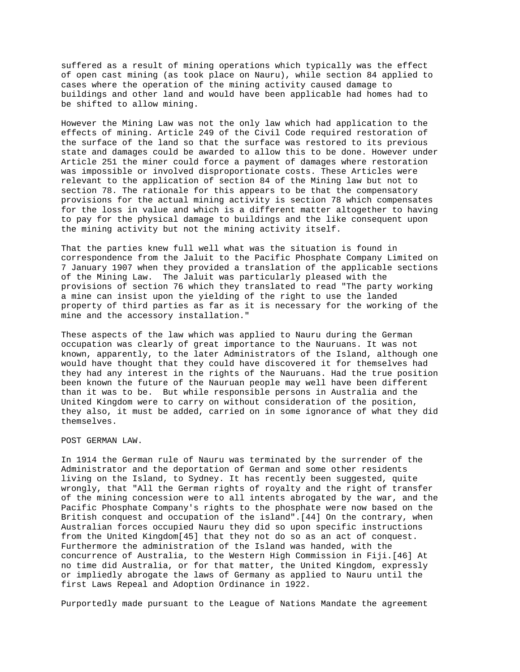suffered as a result of mining operations which typically was the effect of open cast mining (as took place on Nauru), while section 84 applied to cases where the operation of the mining activity caused damage to buildings and other land and would have been applicable had homes had to be shifted to allow mining.

However the Mining Law was not the only law which had application to the effects of mining. Article 249 of the Civil Code required restoration of the surface of the land so that the surface was restored to its previous state and damages could be awarded to allow this to be done. However under Article 251 the miner could force a payment of damages where restoration was impossible or involved disproportionate costs. These Articles were relevant to the application of section 84 of the Mining law but not to section 78. The rationale for this appears to be that the compensatory provisions for the actual mining activity is section 78 which compensates for the loss in value and which is a different matter altogether to having to pay for the physical damage to buildings and the like consequent upon the mining activity but not the mining activity itself.

That the parties knew full well what was the situation is found in correspondence from the Jaluit to the Pacific Phosphate Company Limited on 7 January 1907 when they provided a translation of the applicable sections of the Mining Law. The Jaluit was particularly pleased with the provisions of section 76 which they translated to read "The party working a mine can insist upon the yielding of the right to use the landed property of third parties as far as it is necessary for the working of the mine and the accessory installation."

These aspects of the law which was applied to Nauru during the German occupation was clearly of great importance to the Nauruans. It was not known, apparently, to the later Administrators of the Island, although one would have thought that they could have discovered it for themselves had they had any interest in the rights of the Nauruans. Had the true position been known the future of the Nauruan people may well have been different than it was to be. But while responsible persons in Australia and the United Kingdom were to carry on without consideration of the position, they also, it must be added, carried on in some ignorance of what they did themselves.

POST GERMAN LAW.

In 1914 the German rule of Nauru was terminated by the surrender of the Administrator and the deportation of German and some other residents living on the Island, to Sydney. It has recently been suggested, quite wrongly, that "All the German rights of royalty and the right of transfer of the mining concession were to all intents abrogated by the war, and the Pacific Phosphate Company's rights to the phosphate were now based on the British conquest and occupation of the island".[44] On the contrary, when Australian forces occupied Nauru they did so upon specific instructions from the United Kingdom[45] that they not do so as an act of conquest. Furthermore the administration of the Island was handed, with the concurrence of Australia, to the Western High Commission in Fiji.[46] At no time did Australia, or for that matter, the United Kingdom, expressly or impliedly abrogate the laws of Germany as applied to Nauru until the first Laws Repeal and Adoption Ordinance in 1922.

Purportedly made pursuant to the League of Nations Mandate the agreement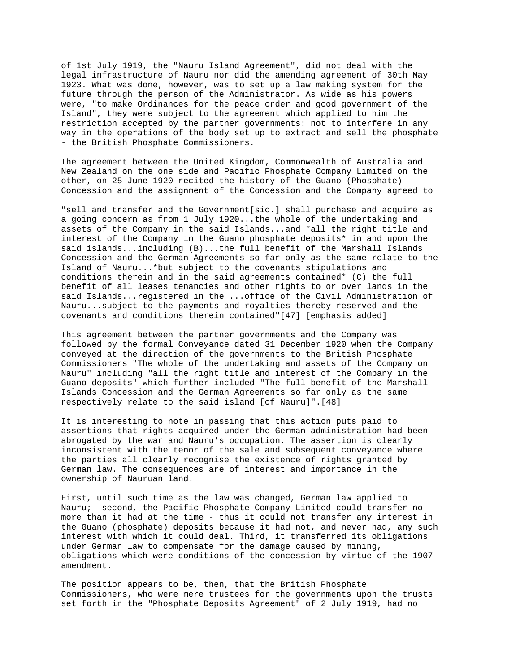of 1st July 1919, the "Nauru Island Agreement", did not deal with the legal infrastructure of Nauru nor did the amending agreement of 30th May 1923. What was done, however, was to set up a law making system for the future through the person of the Administrator. As wide as his powers were, "to make Ordinances for the peace order and good government of the Island", they were subject to the agreement which applied to him the restriction accepted by the partner governments: not to interfere in any way in the operations of the body set up to extract and sell the phosphate - the British Phosphate Commissioners.

The agreement between the United Kingdom, Commonwealth of Australia and New Zealand on the one side and Pacific Phosphate Company Limited on the other, on 25 June 1920 recited the history of the Guano (Phosphate) Concession and the assignment of the Concession and the Company agreed to

"sell and transfer and the Government[sic.] shall purchase and acquire as a going concern as from 1 July 1920...the whole of the undertaking and assets of the Company in the said Islands...and \*all the right title and interest of the Company in the Guano phosphate deposits\* in and upon the said islands...including (B)...the full benefit of the Marshall Islands Concession and the German Agreements so far only as the same relate to the Island of Nauru...\*but subject to the covenants stipulations and conditions therein and in the said agreements contained\* (C) the full benefit of all leases tenancies and other rights to or over lands in the said Islands...registered in the ...office of the Civil Administration of Nauru...subject to the payments and royalties thereby reserved and the covenants and conditions therein contained"[47] [emphasis added]

This agreement between the partner governments and the Company was followed by the formal Conveyance dated 31 December 1920 when the Company conveyed at the direction of the governments to the British Phosphate Commissioners "The whole of the undertaking and assets of the Company on Nauru" including "all the right title and interest of the Company in the Guano deposits" which further included "The full benefit of the Marshall Islands Concession and the German Agreements so far only as the same respectively relate to the said island [of Nauru]".[48]

It is interesting to note in passing that this action puts paid to assertions that rights acquired under the German administration had been abrogated by the war and Nauru's occupation. The assertion is clearly inconsistent with the tenor of the sale and subsequent conveyance where the parties all clearly recognise the existence of rights granted by German law. The consequences are of interest and importance in the ownership of Nauruan land.

First, until such time as the law was changed, German law applied to Nauru; second, the Pacific Phosphate Company Limited could transfer no more than it had at the time - thus it could not transfer any interest in the Guano (phosphate) deposits because it had not, and never had, any such interest with which it could deal. Third, it transferred its obligations under German law to compensate for the damage caused by mining, obligations which were conditions of the concession by virtue of the 1907 amendment.

The position appears to be, then, that the British Phosphate Commissioners, who were mere trustees for the governments upon the trusts set forth in the "Phosphate Deposits Agreement" of 2 July 1919, had no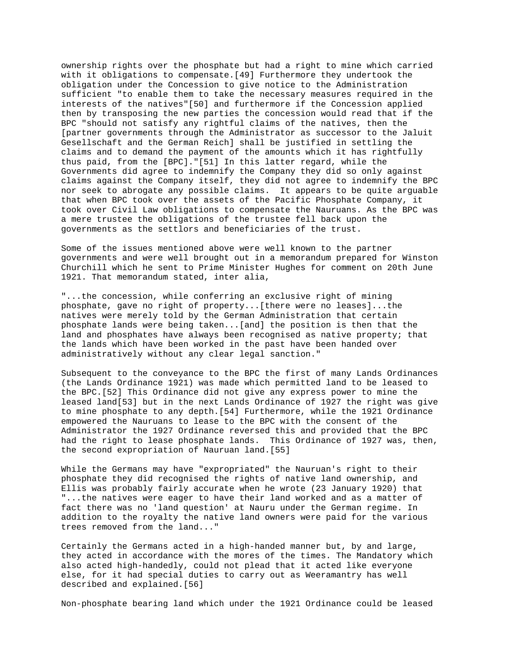ownership rights over the phosphate but had a right to mine which carried with it obligations to compensate.[49] Furthermore they undertook the obligation under the Concession to give notice to the Administration sufficient "to enable them to take the necessary measures required in the interests of the natives"[50] and furthermore if the Concession applied then by transposing the new parties the concession would read that if the BPC "should not satisfy any rightful claims of the natives, then the [partner governments through the Administrator as successor to the Jaluit Gesellschaft and the German Reich] shall be justified in settling the claims and to demand the payment of the amounts which it has rightfully thus paid, from the [BPC]."[51] In this latter regard, while the Governments did agree to indemnify the Company they did so only against claims against the Company itself, they did not agree to indemnify the BPC nor seek to abrogate any possible claims. It appears to be quite arguable that when BPC took over the assets of the Pacific Phosphate Company, it took over Civil Law obligations to compensate the Nauruans. As the BPC was a mere trustee the obligations of the trustee fell back upon the governments as the settlors and beneficiaries of the trust.

Some of the issues mentioned above were well known to the partner governments and were well brought out in a memorandum prepared for Winston Churchill which he sent to Prime Minister Hughes for comment on 20th June 1921. That memorandum stated, inter alia,

"...the concession, while conferring an exclusive right of mining phosphate, gave no right of property...[there were no leases]...the natives were merely told by the German Administration that certain phosphate lands were being taken...[and] the position is then that the land and phosphates have always been recognised as native property; that the lands which have been worked in the past have been handed over administratively without any clear legal sanction."

Subsequent to the conveyance to the BPC the first of many Lands Ordinances (the Lands Ordinance 1921) was made which permitted land to be leased to the BPC.[52] This Ordinance did not give any express power to mine the leased land[53] but in the next Lands Ordinance of 1927 the right was give to mine phosphate to any depth.[54] Furthermore, while the 1921 Ordinance empowered the Nauruans to lease to the BPC with the consent of the Administrator the 1927 Ordinance reversed this and provided that the BPC had the right to lease phosphate lands. This Ordinance of 1927 was, then, the second expropriation of Nauruan land.[55]

While the Germans may have "expropriated" the Nauruan's right to their phosphate they did recognised the rights of native land ownership, and Ellis was probably fairly accurate when he wrote (23 January 1920) that "...the natives were eager to have their land worked and as a matter of fact there was no 'land question' at Nauru under the German regime. In addition to the royalty the native land owners were paid for the various trees removed from the land..."

Certainly the Germans acted in a high-handed manner but, by and large, they acted in accordance with the mores of the times. The Mandatory which also acted high-handedly, could not plead that it acted like everyone else, for it had special duties to carry out as Weeramantry has well described and explained.[56]

Non-phosphate bearing land which under the 1921 Ordinance could be leased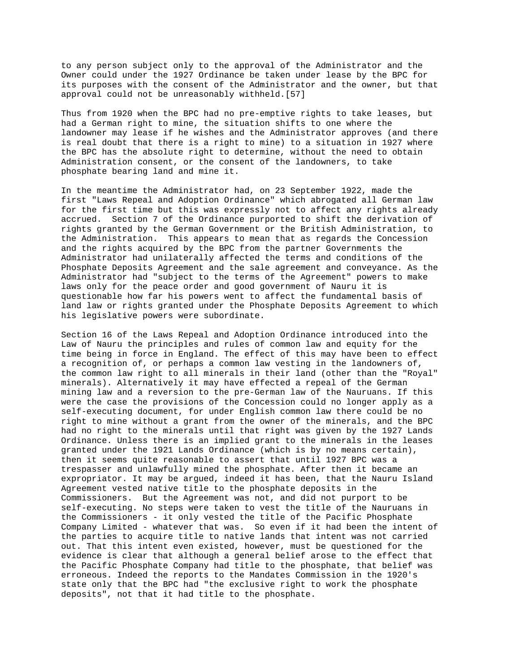to any person subject only to the approval of the Administrator and the Owner could under the 1927 Ordinance be taken under lease by the BPC for its purposes with the consent of the Administrator and the owner, but that approval could not be unreasonably withheld.[57]

Thus from 1920 when the BPC had no pre-emptive rights to take leases, but had a German right to mine, the situation shifts to one where the landowner may lease if he wishes and the Administrator approves (and there is real doubt that there is a right to mine) to a situation in 1927 where the BPC has the absolute right to determine, without the need to obtain Administration consent, or the consent of the landowners, to take phosphate bearing land and mine it.

In the meantime the Administrator had, on 23 September 1922, made the first "Laws Repeal and Adoption Ordinance" which abrogated all German law for the first time but this was expressly not to affect any rights already accrued. Section 7 of the Ordinance purported to shift the derivation of rights granted by the German Government or the British Administration, to the Administration. This appears to mean that as regards the Concession and the rights acquired by the BPC from the partner Governments the Administrator had unilaterally affected the terms and conditions of the Phosphate Deposits Agreement and the sale agreement and conveyance. As the Administrator had "subject to the terms of the Agreement" powers to make laws only for the peace order and good government of Nauru it is questionable how far his powers went to affect the fundamental basis of land law or rights granted under the Phosphate Deposits Agreement to which his legislative powers were subordinate.

Section 16 of the Laws Repeal and Adoption Ordinance introduced into the Law of Nauru the principles and rules of common law and equity for the time being in force in England. The effect of this may have been to effect a recognition of, or perhaps a common law vesting in the landowners of, the common law right to all minerals in their land (other than the "Royal" minerals). Alternatively it may have effected a repeal of the German mining law and a reversion to the pre-German law of the Nauruans. If this were the case the provisions of the Concession could no longer apply as a self-executing document, for under English common law there could be no right to mine without a grant from the owner of the minerals, and the BPC had no right to the minerals until that right was given by the 1927 Lands Ordinance. Unless there is an implied grant to the minerals in the leases granted under the 1921 Lands Ordinance (which is by no means certain), then it seems quite reasonable to assert that until 1927 BPC was a trespasser and unlawfully mined the phosphate. After then it became an expropriator. It may be argued, indeed it has been, that the Nauru Island Agreement vested native title to the phosphate deposits in the Commissioners. But the Agreement was not, and did not purport to be self-executing. No steps were taken to vest the title of the Nauruans in the Commissioners - it only vested the title of the Pacific Phosphate Company Limited - whatever that was. So even if it had been the intent of the parties to acquire title to native lands that intent was not carried out. That this intent even existed, however, must be questioned for the evidence is clear that although a general belief arose to the effect that the Pacific Phosphate Company had title to the phosphate, that belief was erroneous. Indeed the reports to the Mandates Commission in the 1920's state only that the BPC had "the exclusive right to work the phosphate deposits", not that it had title to the phosphate.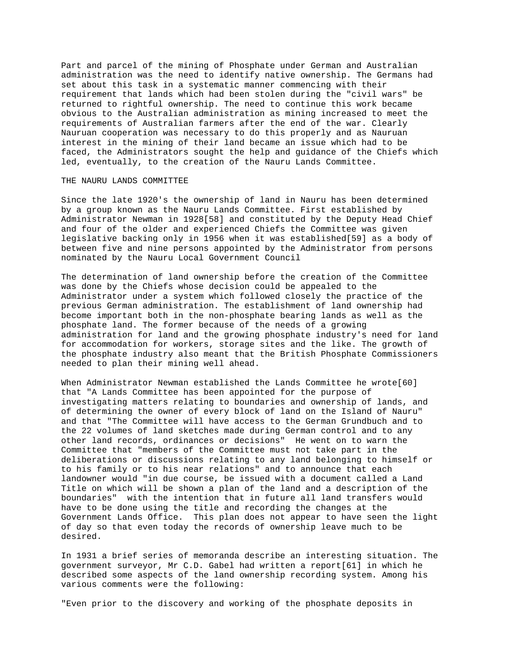Part and parcel of the mining of Phosphate under German and Australian administration was the need to identify native ownership. The Germans had set about this task in a systematic manner commencing with their requirement that lands which had been stolen during the "civil wars" be returned to rightful ownership. The need to continue this work became obvious to the Australian administration as mining increased to meet the requirements of Australian farmers after the end of the war. Clearly Nauruan cooperation was necessary to do this properly and as Nauruan interest in the mining of their land became an issue which had to be faced, the Administrators sought the help and guidance of the Chiefs which led, eventually, to the creation of the Nauru Lands Committee.

### THE NAURU LANDS COMMITTEE

Since the late 1920's the ownership of land in Nauru has been determined by a group known as the Nauru Lands Committee. First established by Administrator Newman in 1928[58] and constituted by the Deputy Head Chief and four of the older and experienced Chiefs the Committee was given legislative backing only in 1956 when it was established[59] as a body of between five and nine persons appointed by the Administrator from persons nominated by the Nauru Local Government Council

The determination of land ownership before the creation of the Committee was done by the Chiefs whose decision could be appealed to the Administrator under a system which followed closely the practice of the previous German administration. The establishment of land ownership had become important both in the non-phosphate bearing lands as well as the phosphate land. The former because of the needs of a growing administration for land and the growing phosphate industry's need for land for accommodation for workers, storage sites and the like. The growth of the phosphate industry also meant that the British Phosphate Commissioners needed to plan their mining well ahead.

When Administrator Newman established the Lands Committee he wrote[60] that "A Lands Committee has been appointed for the purpose of investigating matters relating to boundaries and ownership of lands, and of determining the owner of every block of land on the Island of Nauru" and that "The Committee will have access to the German Grundbuch and to the 22 volumes of land sketches made during German control and to any other land records, ordinances or decisions" He went on to warn the Committee that "members of the Committee must not take part in the deliberations or discussions relating to any land belonging to himself or to his family or to his near relations" and to announce that each landowner would "in due course, be issued with a document called a Land Title on which will be shown a plan of the land and a description of the boundaries" with the intention that in future all land transfers would have to be done using the title and recording the changes at the Government Lands Office. This plan does not appear to have seen the light of day so that even today the records of ownership leave much to be desired.

In 1931 a brief series of memoranda describe an interesting situation. The government surveyor, Mr C.D. Gabel had written a report[61] in which he described some aspects of the land ownership recording system. Among his various comments were the following:

"Even prior to the discovery and working of the phosphate deposits in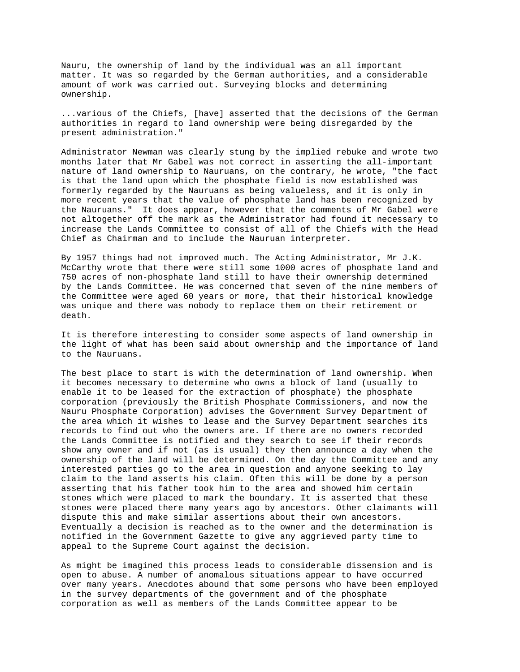Nauru, the ownership of land by the individual was an all important matter. It was so regarded by the German authorities, and a considerable amount of work was carried out. Surveying blocks and determining ownership.

...various of the Chiefs, [have] asserted that the decisions of the German authorities in regard to land ownership were being disregarded by the present administration."

Administrator Newman was clearly stung by the implied rebuke and wrote two months later that Mr Gabel was not correct in asserting the all-important nature of land ownership to Nauruans, on the contrary, he wrote, "the fact is that the land upon which the phosphate field is now established was formerly regarded by the Nauruans as being valueless, and it is only in more recent years that the value of phosphate land has been recognized by the Nauruans." It does appear, however that the comments of Mr Gabel were not altogether off the mark as the Administrator had found it necessary to increase the Lands Committee to consist of all of the Chiefs with the Head Chief as Chairman and to include the Nauruan interpreter.

By 1957 things had not improved much. The Acting Administrator, Mr J.K. McCarthy wrote that there were still some 1000 acres of phosphate land and 750 acres of non-phosphate land still to have their ownership determined by the Lands Committee. He was concerned that seven of the nine members of the Committee were aged 60 years or more, that their historical knowledge was unique and there was nobody to replace them on their retirement or death.

It is therefore interesting to consider some aspects of land ownership in the light of what has been said about ownership and the importance of land to the Nauruans.

The best place to start is with the determination of land ownership. When it becomes necessary to determine who owns a block of land (usually to enable it to be leased for the extraction of phosphate) the phosphate corporation (previously the British Phosphate Commissioners, and now the Nauru Phosphate Corporation) advises the Government Survey Department of the area which it wishes to lease and the Survey Department searches its records to find out who the owners are. If there are no owners recorded the Lands Committee is notified and they search to see if their records show any owner and if not (as is usual) they then announce a day when the ownership of the land will be determined. On the day the Committee and any interested parties go to the area in question and anyone seeking to lay claim to the land asserts his claim. Often this will be done by a person asserting that his father took him to the area and showed him certain stones which were placed to mark the boundary. It is asserted that these stones were placed there many years ago by ancestors. Other claimants will dispute this and make similar assertions about their own ancestors. Eventually a decision is reached as to the owner and the determination is notified in the Government Gazette to give any aggrieved party time to appeal to the Supreme Court against the decision.

As might be imagined this process leads to considerable dissension and is open to abuse. A number of anomalous situations appear to have occurred over many years. Anecdotes abound that some persons who have been employed in the survey departments of the government and of the phosphate corporation as well as members of the Lands Committee appear to be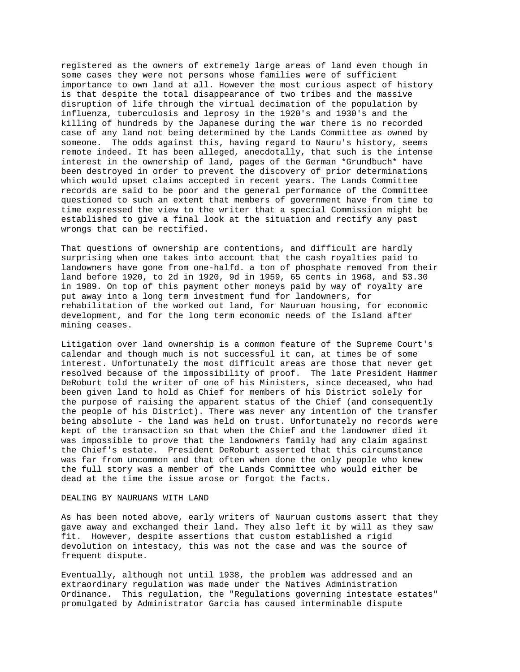registered as the owners of extremely large areas of land even though in some cases they were not persons whose families were of sufficient importance to own land at all. However the most curious aspect of history is that despite the total disappearance of two tribes and the massive disruption of life through the virtual decimation of the population by influenza, tuberculosis and leprosy in the 1920's and 1930's and the killing of hundreds by the Japanese during the war there is no recorded case of any land not being determined by the Lands Committee as owned by someone. The odds against this, having regard to Nauru's history, seems remote indeed. It has been alleged, anecdotally, that such is the intense interest in the ownership of land, pages of the German \*Grundbuch\* have been destroyed in order to prevent the discovery of prior determinations which would upset claims accepted in recent years. The Lands Committee records are said to be poor and the general performance of the Committee questioned to such an extent that members of government have from time to time expressed the view to the writer that a special Commission might be established to give a final look at the situation and rectify any past wrongs that can be rectified.

That questions of ownership are contentions, and difficult are hardly surprising when one takes into account that the cash royalties paid to landowners have gone from one-halfd. a ton of phosphate removed from their land before 1920, to 2d in 1920, 9d in 1959, 65 cents in 1968, and \$3.30 in 1989. On top of this payment other moneys paid by way of royalty are put away into a long term investment fund for landowners, for rehabilitation of the worked out land, for Nauruan housing, for economic development, and for the long term economic needs of the Island after mining ceases.

Litigation over land ownership is a common feature of the Supreme Court's calendar and though much is not successful it can, at times be of some interest. Unfortunately the most difficult areas are those that never get resolved because of the impossibility of proof. The late President Hammer DeRoburt told the writer of one of his Ministers, since deceased, who had been given land to hold as Chief for members of his District solely for the purpose of raising the apparent status of the Chief (and consequently the people of his District). There was never any intention of the transfer being absolute - the land was held on trust. Unfortunately no records were kept of the transaction so that when the Chief and the landowner died it was impossible to prove that the landowners family had any claim against the Chief's estate. President DeRoburt asserted that this circumstance was far from uncommon and that often when done the only people who knew the full story was a member of the Lands Committee who would either be dead at the time the issue arose or forgot the facts.

## DEALING BY NAURUANS WITH LAND

As has been noted above, early writers of Nauruan customs assert that they gave away and exchanged their land. They also left it by will as they saw fit. However, despite assertions that custom established a rigid devolution on intestacy, this was not the case and was the source of frequent dispute.

Eventually, although not until 1938, the problem was addressed and an extraordinary regulation was made under the Natives Administration Ordinance. This regulation, the "Regulations governing intestate estates" promulgated by Administrator Garcia has caused interminable dispute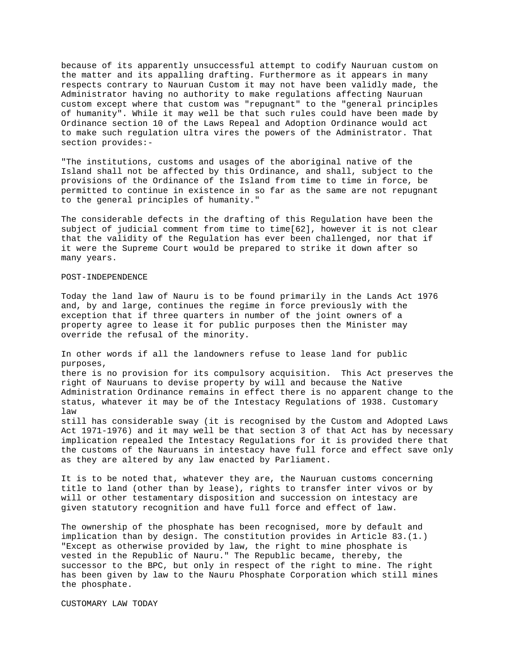because of its apparently unsuccessful attempt to codify Nauruan custom on the matter and its appalling drafting. Furthermore as it appears in many respects contrary to Nauruan Custom it may not have been validly made, the Administrator having no authority to make regulations affecting Nauruan custom except where that custom was "repugnant" to the "general principles of humanity". While it may well be that such rules could have been made by Ordinance section 10 of the Laws Repeal and Adoption Ordinance would act to make such regulation ultra vires the powers of the Administrator. That section provides:-

"The institutions, customs and usages of the aboriginal native of the Island shall not be affected by this Ordinance, and shall, subject to the provisions of the Ordinance of the Island from time to time in force, be permitted to continue in existence in so far as the same are not repugnant to the general principles of humanity."

The considerable defects in the drafting of this Regulation have been the subject of judicial comment from time to time[62], however it is not clear that the validity of the Regulation has ever been challenged, nor that if it were the Supreme Court would be prepared to strike it down after so many years.

#### POST-INDEPENDENCE

Today the land law of Nauru is to be found primarily in the Lands Act 1976 and, by and large, continues the regime in force previously with the exception that if three quarters in number of the joint owners of a property agree to lease it for public purposes then the Minister may override the refusal of the minority.

In other words if all the landowners refuse to lease land for public purposes,

there is no provision for its compulsory acquisition. This Act preserves the right of Nauruans to devise property by will and because the Native Administration Ordinance remains in effect there is no apparent change to the status, whatever it may be of the Intestacy Regulations of 1938. Customary law

still has considerable sway (it is recognised by the Custom and Adopted Laws Act 1971-1976) and it may well be that section 3 of that Act has by necessary implication repealed the Intestacy Regulations for it is provided there that the customs of the Nauruans in intestacy have full force and effect save only as they are altered by any law enacted by Parliament.

It is to be noted that, whatever they are, the Nauruan customs concerning title to land (other than by lease), rights to transfer inter vivos or by will or other testamentary disposition and succession on intestacy are given statutory recognition and have full force and effect of law.

The ownership of the phosphate has been recognised, more by default and implication than by design. The constitution provides in Article 83.(1.) "Except as otherwise provided by law, the right to mine phosphate is vested in the Republic of Nauru." The Republic became, thereby, the successor to the BPC, but only in respect of the right to mine. The right has been given by law to the Nauru Phosphate Corporation which still mines the phosphate.

CUSTOMARY LAW TODAY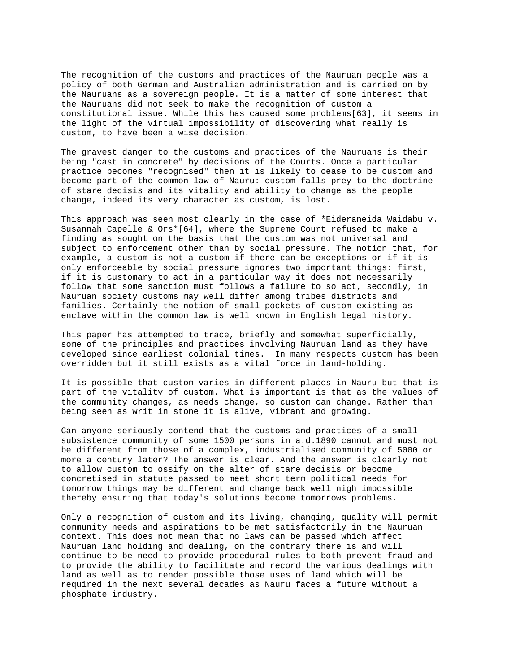The recognition of the customs and practices of the Nauruan people was a policy of both German and Australian administration and is carried on by the Nauruans as a sovereign people. It is a matter of some interest that the Nauruans did not seek to make the recognition of custom a constitutional issue. While this has caused some problems[63], it seems in the light of the virtual impossibility of discovering what really is custom, to have been a wise decision.

The gravest danger to the customs and practices of the Nauruans is their being "cast in concrete" by decisions of the Courts. Once a particular practice becomes "recognised" then it is likely to cease to be custom and become part of the common law of Nauru: custom falls prey to the doctrine of stare decisis and its vitality and ability to change as the people change, indeed its very character as custom, is lost.

This approach was seen most clearly in the case of \*Eideraneida Waidabu v. Susannah Capelle & Ors\*[64], where the Supreme Court refused to make a finding as sought on the basis that the custom was not universal and subject to enforcement other than by social pressure. The notion that, for example, a custom is not a custom if there can be exceptions or if it is only enforceable by social pressure ignores two important things: first, if it is customary to act in a particular way it does not necessarily follow that some sanction must follows a failure to so act, secondly, in Nauruan society customs may well differ among tribes districts and families. Certainly the notion of small pockets of custom existing as enclave within the common law is well known in English legal history.

This paper has attempted to trace, briefly and somewhat superficially, some of the principles and practices involving Nauruan land as they have developed since earliest colonial times. In many respects custom has been overridden but it still exists as a vital force in land-holding.

It is possible that custom varies in different places in Nauru but that is part of the vitality of custom. What is important is that as the values of the community changes, as needs change, so custom can change. Rather than being seen as writ in stone it is alive, vibrant and growing.

Can anyone seriously contend that the customs and practices of a small subsistence community of some 1500 persons in a.d.1890 cannot and must not be different from those of a complex, industrialised community of 5000 or more a century later? The answer is clear. And the answer is clearly not to allow custom to ossify on the alter of stare decisis or become concretised in statute passed to meet short term political needs for tomorrow things may be different and change back well nigh impossible thereby ensuring that today's solutions become tomorrows problems.

Only a recognition of custom and its living, changing, quality will permit community needs and aspirations to be met satisfactorily in the Nauruan context. This does not mean that no laws can be passed which affect Nauruan land holding and dealing, on the contrary there is and will continue to be need to provide procedural rules to both prevent fraud and to provide the ability to facilitate and record the various dealings with land as well as to render possible those uses of land which will be required in the next several decades as Nauru faces a future without a phosphate industry.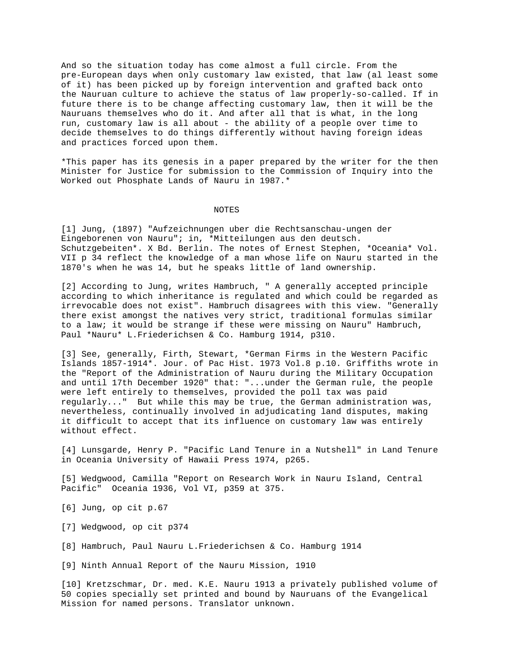And so the situation today has come almost a full circle. From the pre-European days when only customary law existed, that law (al least some of it) has been picked up by foreign intervention and grafted back onto the Nauruan culture to achieve the status of law properly-so-called. If in future there is to be change affecting customary law, then it will be the Nauruans themselves who do it. And after all that is what, in the long run, customary law is all about - the ability of a people over time to decide themselves to do things differently without having foreign ideas and practices forced upon them.

\*This paper has its genesis in a paper prepared by the writer for the then Minister for Justice for submission to the Commission of Inquiry into the Worked out Phosphate Lands of Nauru in 1987.\*

#### NOTES

[1] Jung, (1897) "Aufzeichnungen uber die Rechtsanschau-ungen der Eingeborenen von Nauru"; in, \*Mitteilungen aus den deutsch. Schutzgebeiten\*. X Bd. Berlin. The notes of Ernest Stephen, \*Oceania\* Vol. VII p 34 reflect the knowledge of a man whose life on Nauru started in the 1870's when he was 14, but he speaks little of land ownership.

[2] According to Jung, writes Hambruch, " A generally accepted principle according to which inheritance is regulated and which could be regarded as irrevocable does not exist". Hambruch disagrees with this view. "Generally there exist amongst the natives very strict, traditional formulas similar to a law; it would be strange if these were missing on Nauru" Hambruch, Paul \*Nauru\* L.Friederichsen & Co. Hamburg 1914, p310.

[3] See, generally, Firth, Stewart, \*German Firms in the Western Pacific Islands 1857-1914\*. Jour. of Pac Hist. 1973 Vol.8 p.10. Griffiths wrote in the "Report of the Administration of Nauru during the Military Occupation and until 17th December 1920" that: "...under the German rule, the people were left entirely to themselves, provided the poll tax was paid regularly..." But while this may be true, the German administration was, nevertheless, continually involved in adjudicating land disputes, making it difficult to accept that its influence on customary law was entirely without effect.

[4] Lunsgarde, Henry P. "Pacific Land Tenure in a Nutshell" in Land Tenure in Oceania University of Hawaii Press 1974, p265.

[5] Wedgwood, Camilla "Report on Research Work in Nauru Island, Central Pacific" Oceania 1936, Vol VI, p359 at 375.

[6] Jung, op cit p.67

[7] Wedgwood, op cit p374

[8] Hambruch, Paul Nauru L.Friederichsen & Co. Hamburg 1914

[9] Ninth Annual Report of the Nauru Mission, 1910

[10] Kretzschmar, Dr. med. K.E. Nauru 1913 a privately published volume of 50 copies specially set printed and bound by Nauruans of the Evangelical Mission for named persons. Translator unknown.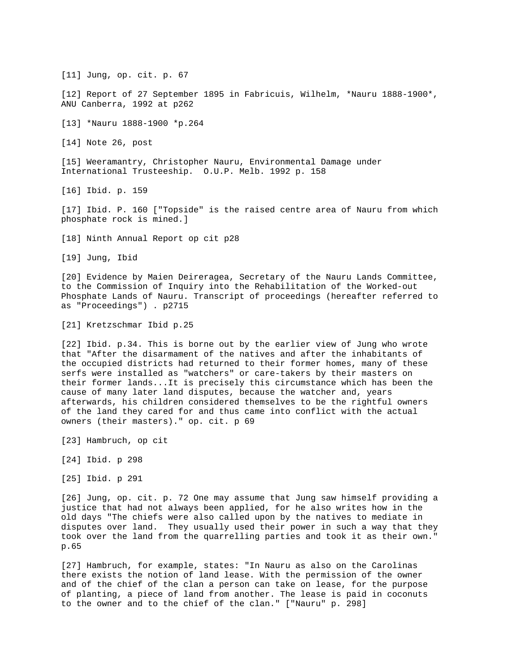[12] Report of 27 September 1895 in Fabricuis, Wilhelm, \*Nauru 1888-1900\*, ANU Canberra, 1992 at p262 [13] \*Nauru 1888-1900 \*p.264 [14] Note 26, post [15] Weeramantry, Christopher Nauru, Environmental Damage under International Trusteeship. O.U.P. Melb. 1992 p. 158 [16] Ibid. p. 159 [17] Ibid. P. 160 ["Topside" is the raised centre area of Nauru from which phosphate rock is mined.] [18] Ninth Annual Report op cit p28 [19] Jung, Ibid [20] Evidence by Maien Deireragea, Secretary of the Nauru Lands Committee, to the Commission of Inquiry into the Rehabilitation of the Worked-out Phosphate Lands of Nauru. Transcript of proceedings (hereafter referred to as "Proceedings") . p2715 [21] Kretzschmar Ibid p.25 [22] Ibid. p.34. This is borne out by the earlier view of Jung who wrote that "After the disarmament of the natives and after the inhabitants of the occupied districts had returned to their former homes, many of these serfs were installed as "watchers" or care-takers by their masters on their former lands...It is precisely this circumstance which has been the cause of many later land disputes, because the watcher and, years afterwards, his children considered themselves to be the rightful owners of the land they cared for and thus came into conflict with the actual owners (their masters)." op. cit. p 69 [23] Hambruch, op cit [24] Ibid. p 298 [25] Ibid. p 291 [26] Jung, op. cit. p. 72 One may assume that Jung saw himself providing a

[11] Jung, op. cit. p. 67

justice that had not always been applied, for he also writes how in the old days "The chiefs were also called upon by the natives to mediate in disputes over land. They usually used their power in such a way that they took over the land from the quarrelling parties and took it as their own." p.65

[27] Hambruch, for example, states: "In Nauru as also on the Carolinas there exists the notion of land lease. With the permission of the owner and of the chief of the clan a person can take on lease, for the purpose of planting, a piece of land from another. The lease is paid in coconuts to the owner and to the chief of the clan." ["Nauru" p. 298]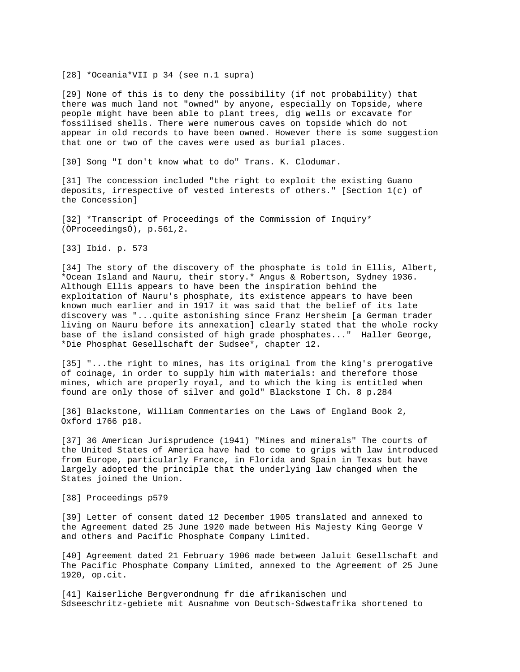[28] \*Oceania\*VII p 34 (see n.1 supra)

[29] None of this is to deny the possibility (if not probability) that there was much land not "owned" by anyone, especially on Topside, where people might have been able to plant trees, dig wells or excavate for fossilised shells. There were numerous caves on topside which do not appear in old records to have been owned. However there is some suggestion that one or two of the caves were used as burial places.

[30] Song "I don't know what to do" Trans. K. Clodumar.

[31] The concession included "the right to exploit the existing Guano deposits, irrespective of vested interests of others." [Section 1(c) of the Concession]

[32] \*Transcript of Proceedings of the Commission of Inquiry\* (ÒProceedingsÓ), p.561,2.

[33] Ibid. p. 573

[34] The story of the discovery of the phosphate is told in Ellis, Albert, \*Ocean Island and Nauru, their story.\* Angus & Robertson, Sydney 1936. Although Ellis appears to have been the inspiration behind the exploitation of Nauru's phosphate, its existence appears to have been known much earlier and in 1917 it was said that the belief of its late discovery was "...quite astonishing since Franz Hersheim [a German trader living on Nauru before its annexation] clearly stated that the whole rocky base of the island consisted of high grade phosphates..." Haller George, \*Die Phosphat Gesellschaft der Sudsee\*, chapter 12.

[35] "...the right to mines, has its original from the king's prerogative of coinage, in order to supply him with materials: and therefore those mines, which are properly royal, and to which the king is entitled when found are only those of silver and gold" Blackstone I Ch. 8 p.284

[36] Blackstone, William Commentaries on the Laws of England Book 2, Oxford 1766 p18.

[37] 36 American Jurisprudence (1941) "Mines and minerals" The courts of the United States of America have had to come to grips with law introduced from Europe, particularly France, in Florida and Spain in Texas but have largely adopted the principle that the underlying law changed when the States joined the Union.

[38] Proceedings p579

[39] Letter of consent dated 12 December 1905 translated and annexed to the Agreement dated 25 June 1920 made between His Majesty King George V and others and Pacific Phosphate Company Limited.

[40] Agreement dated 21 February 1906 made between Jaluit Gesellschaft and The Pacific Phosphate Company Limited, annexed to the Agreement of 25 June 1920, op.cit.

[41] Kaiserliche Bergverondnung fr die afrikanischen und Sdseeschritz-gebiete mit Ausnahme von Deutsch-Sdwestafrika shortened to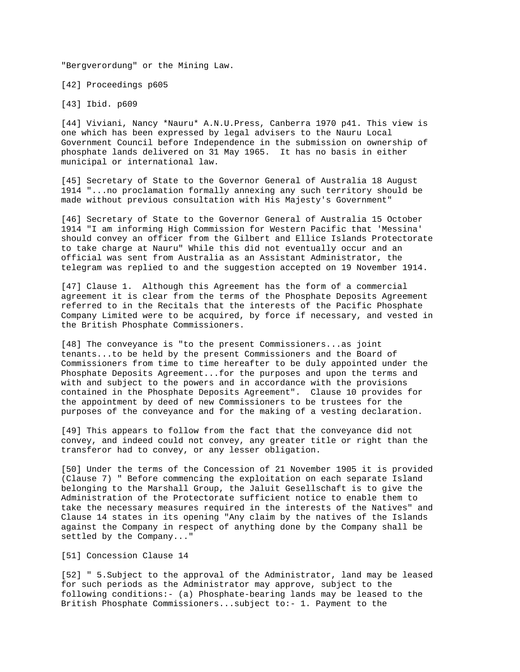"Bergverordung" or the Mining Law.

[42] Proceedings p605

[43] Ibid. p609

[44] Viviani, Nancy \*Nauru\* A.N.U.Press, Canberra 1970 p41. This view is one which has been expressed by legal advisers to the Nauru Local Government Council before Independence in the submission on ownership of phosphate lands delivered on 31 May 1965. It has no basis in either municipal or international law.

[45] Secretary of State to the Governor General of Australia 18 August 1914 "...no proclamation formally annexing any such territory should be made without previous consultation with His Majesty's Government"

[46] Secretary of State to the Governor General of Australia 15 October 1914 "I am informing High Commission for Western Pacific that 'Messina' should convey an officer from the Gilbert and Ellice Islands Protectorate to take charge at Nauru" While this did not eventually occur and an official was sent from Australia as an Assistant Administrator, the telegram was replied to and the suggestion accepted on 19 November 1914.

[47] Clause 1. Although this Agreement has the form of a commercial agreement it is clear from the terms of the Phosphate Deposits Agreement referred to in the Recitals that the interests of the Pacific Phosphate Company Limited were to be acquired, by force if necessary, and vested in the British Phosphate Commissioners.

[48] The conveyance is "to the present Commissioners...as joint tenants...to be held by the present Commissioners and the Board of Commissioners from time to time hereafter to be duly appointed under the Phosphate Deposits Agreement...for the purposes and upon the terms and with and subject to the powers and in accordance with the provisions contained in the Phosphate Deposits Agreement". Clause 10 provides for the appointment by deed of new Commissioners to be trustees for the purposes of the conveyance and for the making of a vesting declaration.

[49] This appears to follow from the fact that the conveyance did not convey, and indeed could not convey, any greater title or right than the transferor had to convey, or any lesser obligation.

[50] Under the terms of the Concession of 21 November 1905 it is provided (Clause 7) " Before commencing the exploitation on each separate Island belonging to the Marshall Group, the Jaluit Gesellschaft is to give the Administration of the Protectorate sufficient notice to enable them to take the necessary measures required in the interests of the Natives" and Clause 14 states in its opening "Any claim by the natives of the Islands against the Company in respect of anything done by the Company shall be settled by the Company..."

# [51] Concession Clause 14

[52] " 5.Subject to the approval of the Administrator, land may be leased for such periods as the Administrator may approve, subject to the following conditions:- (a) Phosphate-bearing lands may be leased to the British Phosphate Commissioners...subject to:- 1. Payment to the